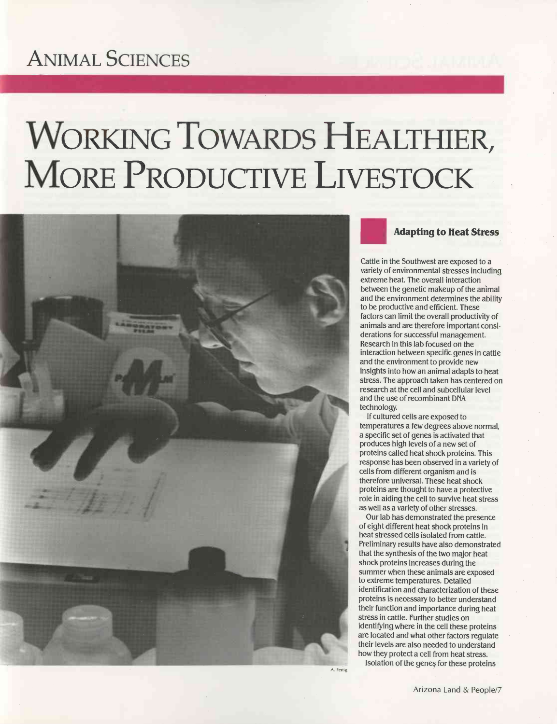# ANIMAL SCIENCES

# WORKING TOWARDS HEALTHIER, MORE PRODUCTIVE LIVESTOCK



Adapting to Heat Stress

Cattle in the Southwest are exposed to a variety of environmental stresses including extreme heat. The overall interaction between the genetic makeup of the animal and the environment determines the ability to be productive and efficient. These factors can limit the overall productivity of animals and are therefore important considerations for successful management. Research in this lab focused on the interaction between specific genes in cattle and the environment to provide new insights into how an animal adapts to heat stress. The approach taken has centered on research at the cell and subcellular level and the use of recombinant DIVA technology.

If cultured cells are exposed to temperatures a few degrees above normal, a specific set of genes is activated that produces high levels of a new set of proteins called heat shock proteins. This response has been observed in a variety of cells from different organism and is therefore universal. These heat shock proteins are thought to have a protective role in aiding the cell to survive heat stress as well as a variety of other stresses.

Our lab has demonstrated the presence of eight different heat shock proteins in heat stressed cells isolated from cattle. Preliminary results have also demonstrated that the synthesis of the two major heat shock proteins increases during the summer when these animals are exposed to extreme temperatures. Detailed identification and characterization of these proteins is necessary to better understand their function and importance during heat stress in cattle. Further studies on identifying where in the cell these proteins are located and what other factors regulate their levels are also needed to understand how they protect a cell from heat stress.

Isolation of the genes for these proteins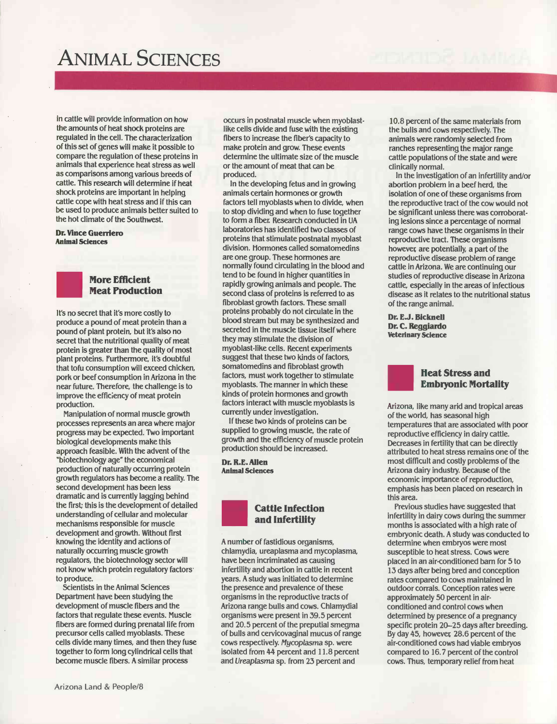# ANIMAL SCIENCES

in cattle will provide information on how the amounts of heat shock proteins are regulated in the cell. The characterization of this set of genes will make it possible to compare the regulation of these proteins in animals that experience heat stress as well as comparisons among various breeds of cattle. This research will determine if heat shock proteins are important in helping cattle cope with heat stress and if this can be used to produce animals better suited to the hot climate of the Southwest.

#### Dr. Vince Guerriero Animal Sciences



## More Efficient Meat Production

It's no secret that it's more costly to produce a pound of meat protein than a pound of plant protein, but it's also no secret that the nutritional quality of meat protein is greater than the quality of most plant proteins. furthermore, it's doubtful that tofu consumption will exceed chicken, pork or beef consumption in Arizona in the near future. Therefore, the challenge is to improve the efficiency of meat protein production.

Manipulation of normal muscle growth processes represents an area where major progress may be expected. Two important biological developments make this approach feasible. With the advent of the "biotechnology age" the economical production of naturally occurring protein growth regulators has become a reality. The second development has been less dramatic and is currently lagging behind the first; this is the development of detailed understanding of cellular and molecular mechanisms responsible for muscle development and growth. Without first knowing the identity and actions of naturally occurring muscle growth regulators, the biotechnology sector will not know which protein regulatory factors' to produce.

Scientists in the Animal Sciences Department have been studying the development of muscle fibers and the factors that regulate these events. Muscle fibers are formed during prenatal life from precursor cells called myoblasts. These cells divide many times, and then they fuse together to form long cylindrical cells that become muscle fibers. A similar process

fibers to increase the fiber's capacity to make protein and grow. These events determine the ultimate size of the muscle or the amount of meat that can be produced. In the developing fetus and in growing animals certain hormones or growth

factors tell myoblasts when to divide, when to stop dividing and when to fuse together to form a fiber. Research conducted in UA laboratories has identified two classes of proteins that stimulate postnatal myoblast division. Hormones called somatomedins are one group. These hormones are normally found circulating in the blood and tend to be found in higher quantities in rapidly growing animals and people. The second class of proteins is referred to as fibroblast growth factors. These small proteins probably do not circulate in the blood stream but may be synthesized and secreted in the muscle tissue itself where they may stimulate the division of myoblast-like cells. Recent experiments suggest that these two kinds of factors, somatomedins and fibroblast growth factors, must work together to stimulate myoblasts. The manner in which these kinds of protein hormones and growth factors interact with muscle myoblasts is currently under investigation.

occurs in postnatal muscle when myoblastlike cells divide and fuse with the existing

If these two kinds of proteins can be supplied to growing muscle, the rate of growth and the efficiency of muscle protein production should be increased.

Dr. R.E. Allen Animal Sciences



### Cattle Infection and Infertility

A number of fastidious organisms, chlamydia, ureaplasma and mycoplasma, have been incriminated as causing infertility and abortion in cattle in recent years. A study was initiated to determine the presence and prevalence of these organisms in the reproductive tracts of Arizona range bulls and cows. Chlamydial organisms were present in 39.5 percent and 20.5 percent of the preputial smegma of bulls and cervicovaginal mucus of range cows respectively. Mycoplasma sp. were isolated from 44 percent and 11.8 percent and Ureaplasma sp. from 23 percent and

10.8 percent of the same materials from the bulls and cows respectively. The animals were randomly selected from ranches representing the major range cattle populations of the state and were clinically normal.

In the investigation of an infertility and/or abortion problem in a beef herd, the isolation of one of these organisms from the reproductive tract of the cow would not be significant unless there was corroborating lesions since a percentage of normal range cows have these organisms in their reproductive tract. These organisms however are potentially, a part of the reproductive disease problem of range cattle in Arizona. We are continuing our studies of reproductive disease in Arizona cattle, especially in the areas of infectious disease as it relates to the nutritional status of the range animal.

Dr. E.J. Bicknell Dr. C. Regglardo Veterinary Science

#### Heat Stress and Embryonic Mortality

Arizona, like many arid and tropical areas of the world, has seasonal high temperatures that are associated with poor reproductive efficiency in dairy cattle. Decreases in fertility that can be directly attributed to heat stress remains one of the most difficult and costly problems of the Arizona dairy industry. Because of the economic importance of reproduction, emphasis has been placed on research in this area.

Previous studies have suggested that infertility in dairy cows during the summer months is associated with a high rate of embryonic death. A study was conducted to determine when embryos were most susceptible to heat stress. Cows were placed in an air -conditioned barn for 5 to 13 days after being bred and conception rates compared to cows maintained in outdoor corrals. Conception rates were approximately 50 percent in air conditioned and control cows when determined by presence of a pregnancy specific protein 20-25 days after breeding. By day 45, however 28.6 percent of the air -conditioned cows had viable embryos compared to 16.7 percent of the control cows. Thus, temporary relief from heat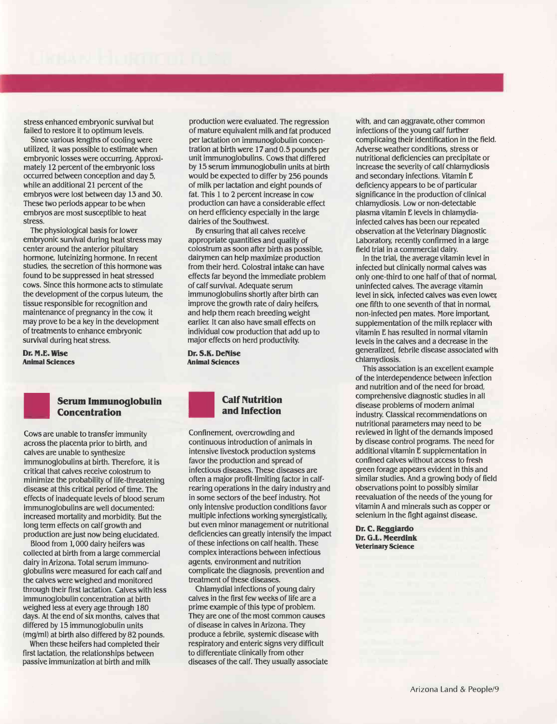stress enhanced embryonic survival but failed to restore it to optimum levels.

Since various lengths of cooling were utilized, it was possible to estimate when embryonic losses were occurring. Approximately 12 percent of the embryonic loss occurred between conception and day 5, while an additional 21 percent of the embryos were lost between day 13 and 30. These two periods appear to be when embryos are most susceptible to heat stress.

The physiological basis for lower embryonic survival during heat stress may center around the anterior pituitary hormone, luteinizing hormone. In recent studies, the secretion of this hormone was found to be suppressed in heat stressed cows. Since this hormone acts to stimulate the development of the corpus luteum, the tissue responsible for recognition and maintenance of pregnancy in the cow, it may prove to be a key in the development of treatments to enhance embryonic survival during heat stress.

Dr. M.E. Wise Animal Sciences



#### Serum Immunoglobulin **Concentration**

Cows are unable to transfer immunity across the placenta prior to birth, and calves are unable to synthesize immunoglobulins at birth. Therefore, it is critical that calves receive colostrum to minimize the probability of life -threatening disease at this critical period of time. The effects of inadequate levels of blood serum immunoglobulins are well documented: increased mortality and morbidity. But the long term effects on calf growth and production are just now being elucidated.

Blood from 1,000 dairy heifers was collected at birth from a large commercial dairy in Arizona. Total serum immunoglobulins were measured for each calf and the calves were weighed and monitored through their first lactation. Calves with less immunoglobulin concentration at birth weighed less at every age through 180 days. At the end of six months, calves that differed by 15 immunoglobulin units (mg/ml) at birth also differed by 82 pounds.

When these heifers had completed their first lactation, the relationships between passive immunization at birth and milk

production were evaluated. The regression of mature equivalent milk and fat produced per lactation on immunoglobulin concentration at birth were 17 and 0.5 pounds per unit immunoglobulins. Cows that differed by 15 serum immunoglobulin units at birth would be expected to differ by 256 pounds of milk per lactation and eight pounds of fat. This 1 to 2 percent increase in cow production can have a considerable effect on herd efficiency especially in the large dairies of the Southwest.

By ensuring that all calves receive appropriate quantities and quality of colostrum as soon after birth as possible, dairymen can help maximize production from their herd. Colostral intake can have effects far beyond the immediate problem of calf survival. Adequate serum immunoglobulins shortly after birth can improve the growth rate of dairy heifers, and help them reach breeding weight earlier. It can also have small effects on individual cow production that add up to major effects on herd productivity.

Dr. S.K. Denise Animal Sciences

## Calf Nutrition and Infection

Confinement, overcrowding and continuous introduction of animals in intensive livestock production systems favor the production and spread of infectious diseases. These diseases are often a major profit-limiting factor in calfrearing operations in the dairy industry and in some sectors of the beef industry. Not only intensive production conditions favor multiple infections working synergistically, but even minor management or nutritional deficiencies can greatly intensify the impact of these infections on calf health. These complex interactions between infectious agents, environment and nutrition complicate the diagnosis, prevention and treatment of these diseases.

Chlamydial infections of young dairy calves in the first few weeks of life are a prime example of this type of problem. They are one of the most common causes of disease in calves in Arizona. They produce a febrile, systemic disease with respiratory and enteric signs very difficult to differentiate clinically from other diseases of the calf. They usually associate

with, and can aggravate, other common infections of the young calf further complicaing their identification in the field. Adverse weather conditions, stress or nutritional deficiencies can precipitate or increase the severity of calf chlamydiosis and secondary infections. Vitamin E deficiency appears to be of particular significance in the production of clinical chlamydiosis. Low or non -detectable plasma vitamin E levels in chlamydiainfected calves has been our repeated observation at the Veterinary Diagnostic Laboratory, recently confirmed in a large field trial in a commercial dairy.

In the trial, the average vitamin level in infected but clinically normal calves was only one -third to one half of that of normal, uninfected calves. The average vitamin level in sick, infected calves was even lower one fifth to one seventh of that in normal, non -infected pen mates. More important, supplementation of the milk replacer with vitamin E has resulted in normal vitamin levels in the calves and a decrease in the generalized, febrile disease associated with

This association is an excellent example of the interdependence between infection and nutrition and of the need for broad, comprehensive diagnostic studies in all disease problems of modern animal industry. Classical recommendations on nutritional parameters may need to be reviewed in light of the demands imposed by disease control programs. The need for additional vitamin E supplementation in confined calves without access to fresh green forage appears evident in this and similar studies. And a growing body of field observations point to possibly similar reevaluation of the needs of the young for vitamin A and minerals such as copper or selenium in the fight against disease.

Dr. C. Reggiardo Dr. G.L. Meerdink Veterinary Science